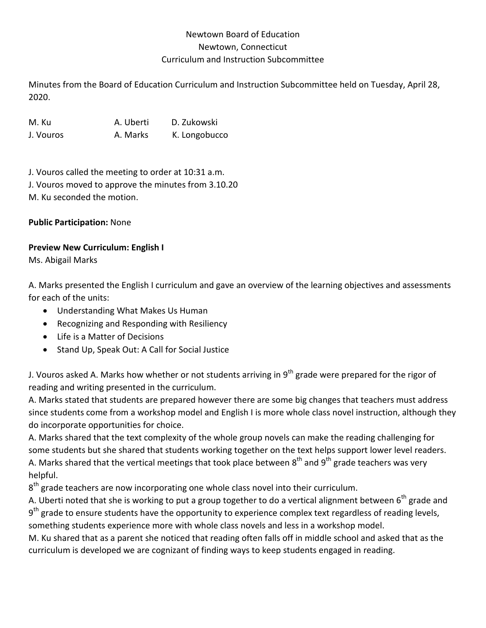# Newtown Board of Education Newtown, Connecticut Curriculum and Instruction Subcommittee

Minutes from the Board of Education Curriculum and Instruction Subcommittee held on Tuesday, April 28, 2020.

M. Ku A. Uberti D. Zukowski J. Vouros A. Marks K. Longobucco

J. Vouros called the meeting to order at 10:31 a.m. J. Vouros moved to approve the minutes from 3.10.20 M. Ku seconded the motion.

**Public Participation:** None

## **Preview New Curriculum: English I**

Ms. Abigail Marks

A. Marks presented the English I curriculum and gave an overview of the learning objectives and assessments for each of the units:

- Understanding What Makes Us Human
- Recognizing and Responding with Resiliency
- Life is a Matter of Decisions
- Stand Up, Speak Out: A Call for Social Justice

J. Vouros asked A. Marks how whether or not students arriving in  $9<sup>th</sup>$  grade were prepared for the rigor of reading and writing presented in the curriculum.

A. Marks stated that students are prepared however there are some big changes that teachers must address since students come from a workshop model and English I is more whole class novel instruction, although they do incorporate opportunities for choice.

A. Marks shared that the text complexity of the whole group novels can make the reading challenging for some students but she shared that students working together on the text helps support lower level readers. A. Marks shared that the vertical meetings that took place between  $8<sup>th</sup>$  and  $9<sup>th</sup>$  grade teachers was very helpful.

 $8<sup>th</sup>$  grade teachers are now incorporating one whole class novel into their curriculum.

A. Uberti noted that she is working to put a group together to do a vertical alignment between  $6<sup>th</sup>$  grade and  $9<sup>th</sup>$  grade to ensure students have the opportunity to experience complex text regardless of reading levels, something students experience more with whole class novels and less in a workshop model.

M. Ku shared that as a parent she noticed that reading often falls off in middle school and asked that as the curriculum is developed we are cognizant of finding ways to keep students engaged in reading.